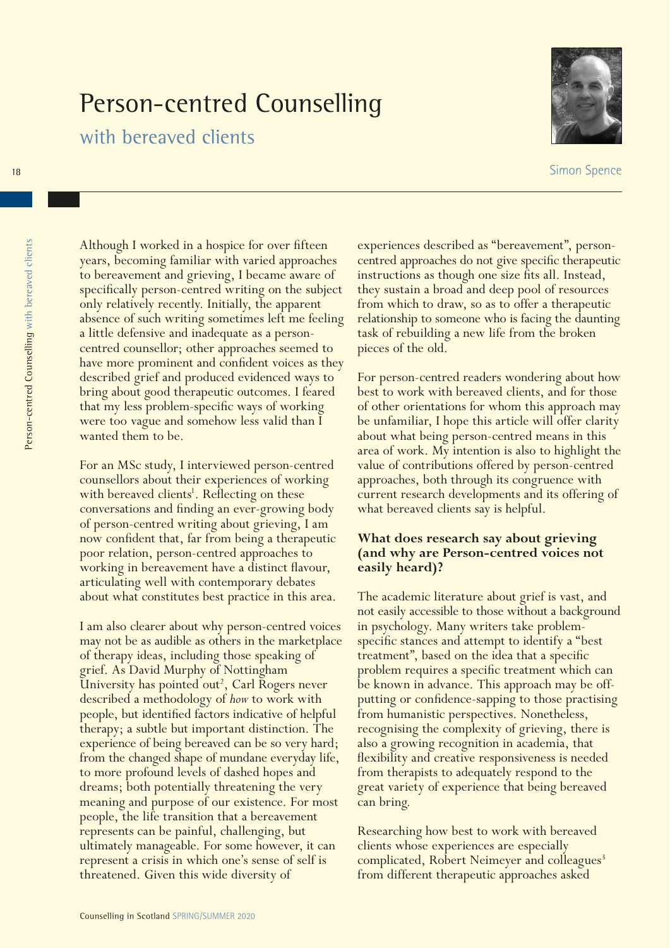# Person-centred Counselling

with bereaved clients



Simon Spence

Although I worked in a hospice for over fifteen years, becoming familiar with varied approaches to bereavement and grieving, I became aware of specifically person-centred writing on the subject only relatively recently. Initially, the apparent absence of such writing sometimes left me feeling a little defensive and inadequate as a personcentred counsellor; other approaches seemed to have more prominent and confident voices as they described grief and produced evidenced ways to bring about good therapeutic outcomes. I feared that my less problem-specific ways of working were too vague and somehow less valid than I wanted them to be.

For an MSc study, I interviewed person-centred counsellors about their experiences of working with bereaved clients<sup>1</sup>. Reflecting on these conversations and finding an ever-growing body of person-centred writing about grieving, I am now confident that, far from being a therapeutic poor relation, person-centred approaches to working in bereavement have a distinct flavour, articulating well with contemporary debates about what constitutes best practice in this area.

I am also clearer about why person-centred voices may not be as audible as others in the marketplace of therapy ideas, including those speaking of grief. As David Murphy of Nottingham University has pointed out<sup>2</sup>, Carl Rogers never described a methodology of *how* to work with people, but identified factors indicative of helpful therapy; a subtle but important distinction. The experience of being bereaved can be so very hard; from the changed shape of mundane everyday life, to more profound levels of dashed hopes and dreams; both potentially threatening the very meaning and purpose of our existence. For most people, the life transition that a bereavement represents can be painful, challenging, but ultimately manageable. For some however, it can represent a crisis in which one's sense of self is threatened. Given this wide diversity of

experiences described as "bereavement", personcentred approaches do not give specific therapeutic instructions as though one size fits all. Instead, they sustain a broad and deep pool of resources from which to draw, so as to offer a therapeutic relationship to someone who is facing the daunting task of rebuilding a new life from the broken pieces of the old.

For person-centred readers wondering about how best to work with bereaved clients, and for those of other orientations for whom this approach may be unfamiliar, I hope this article will offer clarity about what being person-centred means in this area of work. My intention is also to highlight the value of contributions offered by person-centred approaches, both through its congruence with current research developments and its offering of what bereaved clients say is helpful.

## **What does research say about grieving (and why are Person-centred voices not easily heard)?**

The academic literature about grief is vast, and not easily accessible to those without a background in psychology. Many writers take problemspecific stances and attempt to identify a "best treatment", based on the idea that a specific problem requires a specific treatment which can be known in advance. This approach may be offputting or confidence-sapping to those practising from humanistic perspectives. Nonetheless, recognising the complexity of grieving, there is also a growing recognition in academia, that flexibility and creative responsiveness is needed from therapists to adequately respond to the great variety of experience that being bereaved can bring.

Researching how best to work with bereaved clients whose experiences are especially complicated, Robert Neimeyer and colleagues<sup>3</sup> from different therapeutic approaches asked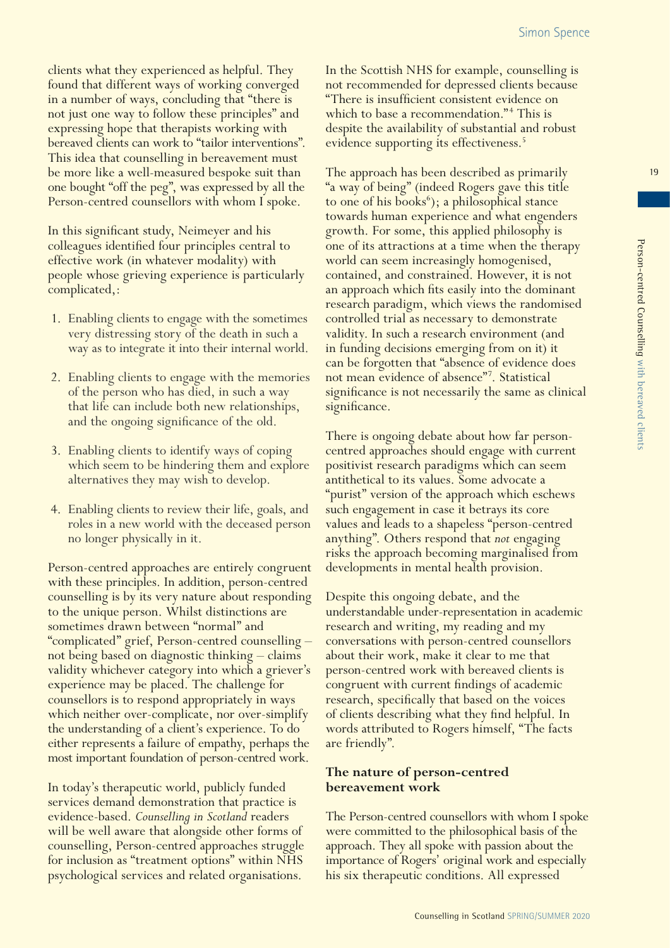clients what they experienced as helpful. They found that different ways of working converged in a number of ways, concluding that "there is not just one way to follow these principles" and expressing hope that therapists working with bereaved clients can work to "tailor interventions". This idea that counselling in bereavement must be more like a well-measured bespoke suit than one bought "off the peg", was expressed by all the Person-centred counsellors with whom I spoke.

In this significant study, Neimeyer and his colleagues identified four principles central to effective work (in whatever modality) with people whose grieving experience is particularly complicated,:

- 1. Enabling clients to engage with the sometimes very distressing story of the death in such a way as to integrate it into their internal world.
- 2. Enabling clients to engage with the memories of the person who has died, in such a way that life can include both new relationships, and the ongoing significance of the old.
- 3. Enabling clients to identify ways of coping which seem to be hindering them and explore alternatives they may wish to develop.
- 4. Enabling clients to review their life, goals, and roles in a new world with the deceased person no longer physically in it.

Person-centred approaches are entirely congruent with these principles. In addition, person-centred counselling is by its very nature about responding to the unique person. Whilst distinctions are sometimes drawn between "normal" and "complicated" grief, Person-centred counselling – not being based on diagnostic thinking – claims validity whichever category into which a griever's experience may be placed. The challenge for counsellors is to respond appropriately in ways which neither over-complicate, nor over-simplify the understanding of a client's experience. To do either represents a failure of empathy, perhaps the most important foundation of person-centred work.

In today's therapeutic world, publicly funded services demand demonstration that practice is evidence-based. *Counselling in Scotland* readers will be well aware that alongside other forms of counselling, Person-centred approaches struggle for inclusion as "treatment options" within NHS psychological services and related organisations.

In the Scottish NHS for example, counselling is not recommended for depressed clients because "There is insufficient consistent evidence on which to base a recommendation."<sup>4</sup> This is despite the availability of substantial and robust evidence supporting its effectiveness.<sup>5</sup>

The approach has been described as primarily "a way of being" (indeed Rogers gave this title to one of his books<sup>6</sup>); a philosophical stance towards human experience and what engenders growth. For some, this applied philosophy is one of its attractions at a time when the therapy world can seem increasingly homogenised, contained, and constrained. However, it is not an approach which fits easily into the dominant research paradigm, which views the randomised controlled trial as necessary to demonstrate validity. In such a research environment (and in funding decisions emerging from on it) it can be forgotten that "absence of evidence does not mean evidence of absence"7 . Statistical significance is not necessarily the same as clinical significance.

There is ongoing debate about how far personcentred approaches should engage with current positivist research paradigms which can seem antithetical to its values. Some advocate a "purist" version of the approach which eschews such engagement in case it betrays its core values and leads to a shapeless "person-centred anything". Others respond that *not* engaging risks the approach becoming marginalised from developments in mental health provision.

Despite this ongoing debate, and the understandable under-representation in academic research and writing, my reading and my conversations with person-centred counsellors about their work, make it clear to me that person-centred work with bereaved clients is congruent with current findings of academic research, specifically that based on the voices of clients describing what they find helpful. In words attributed to Rogers himself, "The facts are friendly".

## **The nature of person-centred bereavement work**

The Person-centred counsellors with whom I spoke were committed to the philosophical basis of the approach. They all spoke with passion about the importance of Rogers' original work and especially his six therapeutic conditions. All expressed

19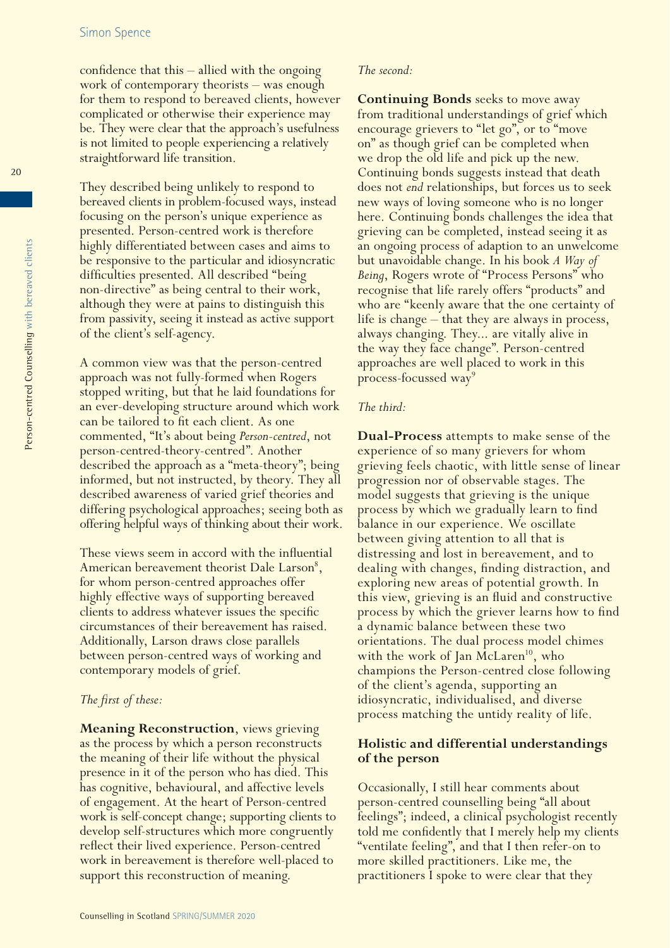confidence that this – allied with the ongoing work of contemporary theorists – was enough for them to respond to bereaved clients, however complicated or otherwise their experience may be. They were clear that the approach's usefulness is not limited to people experiencing a relatively straightforward life transition.

They described being unlikely to respond to bereaved clients in problem-focused ways, instead focusing on the person's unique experience as presented. Person-centred work is therefore highly differentiated between cases and aims to be responsive to the particular and idiosyncratic difficulties presented. All described "being non-directive" as being central to their work, although they were at pains to distinguish this from passivity, seeing it instead as active support of the client's self-agency.

A common view was that the person-centred approach was not fully-formed when Rogers stopped writing, but that he laid foundations for an ever-developing structure around which work can be tailored to fit each client. As one commented, "It's about being *Person-centred*, not person-centred-theory-centred". Another described the approach as a "meta-theory"; being informed, but not instructed, by theory. They all described awareness of varied grief theories and differing psychological approaches; seeing both as offering helpful ways of thinking about their work.

These views seem in accord with the influential American bereavement theorist Dale Larson<sup>8</sup>, for whom person-centred approaches offer highly effective ways of supporting bereaved clients to address whatever issues the specific circumstances of their bereavement has raised. Additionally, Larson draws close parallels between person-centred ways of working and contemporary models of grief.

## *The first of these:*

**Meaning Reconstruction**, views grieving as the process by which a person reconstructs the meaning of their life without the physical presence in it of the person who has died. This has cognitive, behavioural, and affective levels of engagement. At the heart of Person-centred work is self-concept change; supporting clients to develop self-structures which more congruently reflect their lived experience. Person-centred work in bereavement is therefore well-placed to support this reconstruction of meaning.

#### *The second:*

**Continuing Bonds** seeks to move away from traditional understandings of grief which encourage grievers to "let go", or to "move on" as though grief can be completed when we drop the old life and pick up the new. Continuing bonds suggests instead that death does not *end* relationships, but forces us to seek new ways of loving someone who is no longer here. Continuing bonds challenges the idea that grieving can be completed, instead seeing it as an ongoing process of adaption to an unwelcome but unavoidable change. In his book *A Way of Being*, Rogers wrote of "Process Persons" who recognise that life rarely offers "products" and who are "keenly aware that the one certainty of life is change – that they are always in process, always changing. They... are vitally alive in the way they face change". Person-centred approaches are well placed to work in this process-focussed way<sup>9</sup>

#### *The third:*

**Dual-Process** attempts to make sense of the experience of so many grievers for whom grieving feels chaotic, with little sense of linear progression nor of observable stages. The model suggests that grieving is the unique process by which we gradually learn to find balance in our experience. We oscillate between giving attention to all that is distressing and lost in bereavement, and to dealing with changes, finding distraction, and exploring new areas of potential growth. In this view, grieving is an fluid and constructive process by which the griever learns how to find a dynamic balance between these two orientations. The dual process model chimes with the work of Jan McLaren<sup>10</sup>, who champions the Person-centred close following of the client's agenda, supporting an idiosyncratic, individualised, and diverse process matching the untidy reality of life.

## **Holistic and differential understandings of the person**

Occasionally, I still hear comments about person-centred counselling being "all about feelings"; indeed, a clinical psychologist recently told me confidently that I merely help my clients "ventilate feeling", and that I then refer-on to more skilled practitioners. Like me, the practitioners I spoke to were clear that they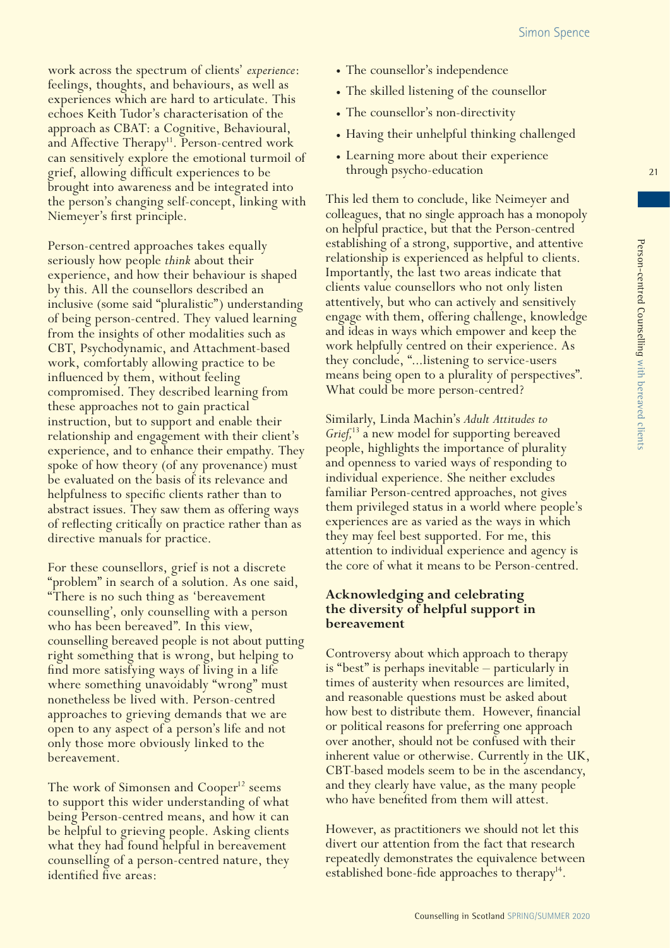work across the spectrum of clients' *experience*: feelings, thoughts, and behaviours, as well as experiences which are hard to articulate. This echoes Keith Tudor's characterisation of the approach as CBAT: a Cognitive, Behavioural, and Affective Therapy<sup>11</sup>. Person-centred work can sensitively explore the emotional turmoil of grief, allowing difficult experiences to be brought into awareness and be integrated into the person's changing self-concept, linking with Niemeyer's first principle.

Person-centred approaches takes equally seriously how people *think* about their experience, and how their behaviour is shaped by this. All the counsellors described an inclusive (some said "pluralistic") understanding of being person-centred. They valued learning from the insights of other modalities such as CBT, Psychodynamic, and Attachment-based work, comfortably allowing practice to be influenced by them, without feeling compromised. They described learning from these approaches not to gain practical instruction, but to support and enable their relationship and engagement with their client's experience, and to enhance their empathy. They spoke of how theory (of any provenance) must be evaluated on the basis of its relevance and helpfulness to specific clients rather than to abstract issues. They saw them as offering ways of reflecting critically on practice rather than as directive manuals for practice.

For these counsellors, grief is not a discrete "problem" in search of a solution. As one said, "There is no such thing as 'bereavement counselling', only counselling with a person who has been bereaved". In this view, counselling bereaved people is not about putting right something that is wrong, but helping to find more satisfying ways of living in a life where something unavoidably "wrong" must nonetheless be lived with. Person-centred approaches to grieving demands that we are open to any aspect of a person's life and not only those more obviously linked to the bereavement.

The work of Simonsen and Cooper<sup>12</sup> seems to support this wider understanding of what being Person-centred means, and how it can be helpful to grieving people. Asking clients what they had found helpful in bereavement counselling of a person-centred nature, they identified five areas:

- The counsellor's independence
- The skilled listening of the counsellor
- The counsellor's non-directivity
- Having their unhelpful thinking challenged
- Learning more about their experience through psycho-education

This led them to conclude, like Neimeyer and colleagues, that no single approach has a monopoly on helpful practice, but that the Person-centred establishing of a strong, supportive, and attentive relationship is experienced as helpful to clients. Importantly, the last two areas indicate that clients value counsellors who not only listen attentively, but who can actively and sensitively engage with them, offering challenge, knowledge and ideas in ways which empower and keep the work helpfully centred on their experience. As they conclude, "...listening to service-users means being open to a plurality of perspectives". What could be more person-centred?

Similarly, Linda Machin's *Adult Attitudes to Grief,*13 a new model for supporting bereaved people, highlights the importance of plurality and openness to varied ways of responding to individual experience. She neither excludes familiar Person-centred approaches, not gives them privileged status in a world where people's experiences are as varied as the ways in which they may feel best supported. For me, this attention to individual experience and agency is the core of what it means to be Person-centred.

## **Acknowledging and celebrating the diversity of helpful support in bereavement**

Controversy about which approach to therapy is "best" is perhaps inevitable – particularly in times of austerity when resources are limited, and reasonable questions must be asked about how best to distribute them. However, financial or political reasons for preferring one approach over another, should not be confused with their inherent value or otherwise. Currently in the UK, CBT-based models seem to be in the ascendancy, and they clearly have value, as the many people who have benefited from them will attest.

However, as practitioners we should not let this divert our attention from the fact that research repeatedly demonstrates the equivalence between established bone-fide approaches to therapy<sup>14</sup>.